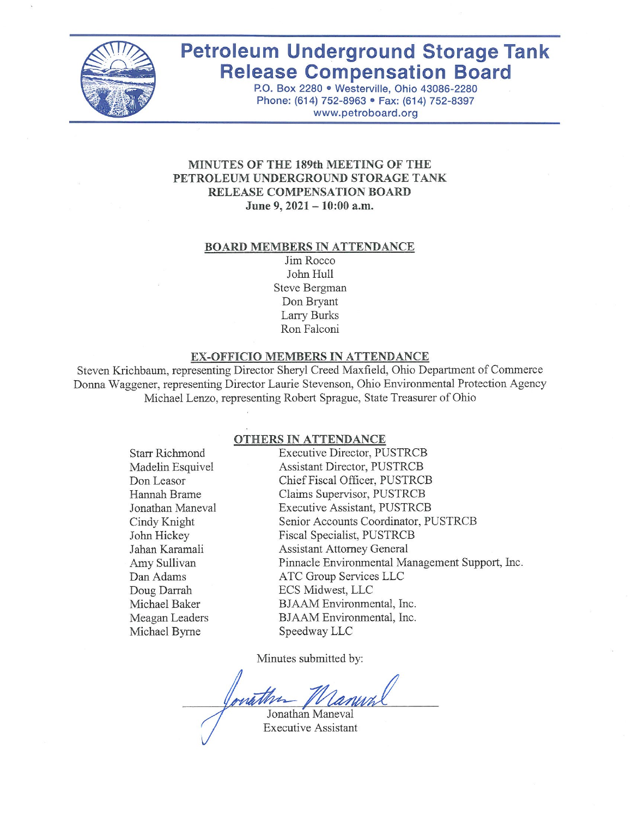

# **Petroleum Underground Storage Tank Release Compensation Board**

P.O. Box 2280 · Westerville, Ohio 43086-2280 Phone: (614) 752-8963 · Fax: (614) 752-8397 www.petroboard.org

## MINUTES OF THE 189th MEETING OF THE PETROLEUM UNDERGROUND STORAGE TANK RELEASE COMPENSATION BOARD June 9, 2021 - 10:00 a.m.

#### **BOARD MEMBERS IN ATTENDANCE**

Jim Rocco John Hull **Steve Bergman** Don Bryant Larry Burks Ron Falconi

#### **EX-OFFICIO MEMBERS IN ATTENDANCE**

Steven Krichbaum, representing Director Sheryl Creed Maxfield, Ohio Department of Commerce Donna Waggener, representing Director Laurie Stevenson, Ohio Environmental Protection Agency Michael Lenzo, representing Robert Sprague, State Treasurer of Ohio

#### OTHERS IN ATTENDANCE

**Starr Richmond** Madelin Esquivel Don Leasor Hannah Brame Jonathan Maneval Cindy Knight John Hickey Jahan Karamali Amy Sullivan Dan Adams Doug Darrah Michael Baker Meagan Leaders Michael Byrne

**Executive Director, PUSTRCB Assistant Director, PUSTRCB** Chief Fiscal Officer, PUSTRCB Claims Supervisor, PUSTRCB **Executive Assistant, PUSTRCB** Senior Accounts Coordinator, PUSTRCB Fiscal Specialist, PUSTRCB **Assistant Attorney General** Pinnacle Environmental Management Support, Inc. ATC Group Services LLC ECS Midwest, LLC BJAAM Environmental, Inc. BJAAM Environmental, Inc. Speedway LLC

Minutes submitted by:

Jonathan Maneval

**Executive Assistant**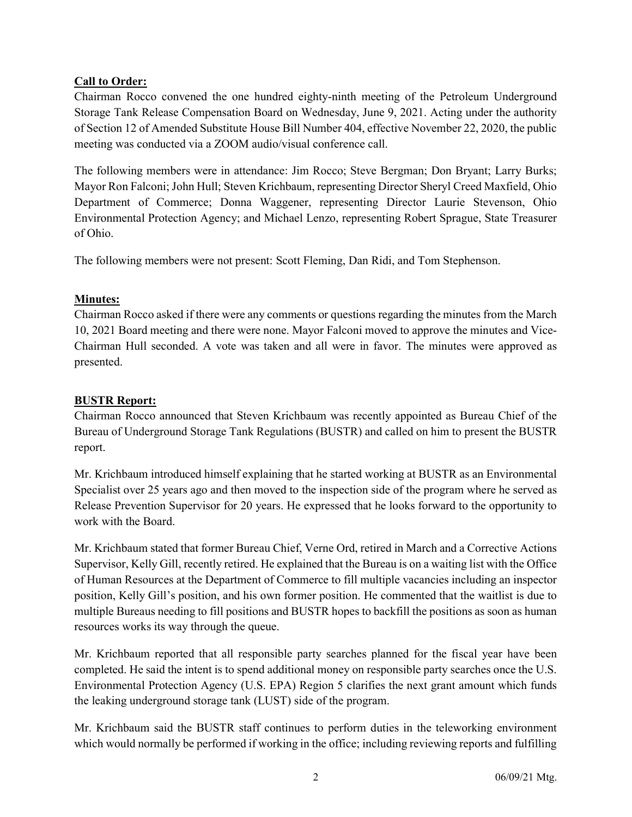# Call to Order:

Chairman Rocco convened the one hundred eighty-ninth meeting of the Petroleum Underground Storage Tank Release Compensation Board on Wednesday, June 9, 2021. Acting under the authority of Section 12 of Amended Substitute House Bill Number 404, effective November 22, 2020, the public meeting was conducted via a ZOOM audio/visual conference call.

The following members were in attendance: Jim Rocco; Steve Bergman; Don Bryant; Larry Burks; Mayor Ron Falconi; John Hull; Steven Krichbaum, representing Director Sheryl Creed Maxfield, Ohio Department of Commerce; Donna Waggener, representing Director Laurie Stevenson, Ohio Environmental Protection Agency; and Michael Lenzo, representing Robert Sprague, State Treasurer of Ohio.

The following members were not present: Scott Fleming, Dan Ridi, and Tom Stephenson.

## Minutes:

Chairman Rocco asked if there were any comments or questions regarding the minutes from the March 10, 2021 Board meeting and there were none. Mayor Falconi moved to approve the minutes and Vice-Chairman Hull seconded. A vote was taken and all were in favor. The minutes were approved as presented.

# BUSTR Report:

Chairman Rocco announced that Steven Krichbaum was recently appointed as Bureau Chief of the Bureau of Underground Storage Tank Regulations (BUSTR) and called on him to present the BUSTR report.

Mr. Krichbaum introduced himself explaining that he started working at BUSTR as an Environmental Specialist over 25 years ago and then moved to the inspection side of the program where he served as Release Prevention Supervisor for 20 years. He expressed that he looks forward to the opportunity to work with the Board.

Mr. Krichbaum stated that former Bureau Chief, Verne Ord, retired in March and a Corrective Actions Supervisor, Kelly Gill, recently retired. He explained that the Bureau is on a waiting list with the Office of Human Resources at the Department of Commerce to fill multiple vacancies including an inspector position, Kelly Gill's position, and his own former position. He commented that the waitlist is due to multiple Bureaus needing to fill positions and BUSTR hopes to backfill the positions as soon as human resources works its way through the queue.

Mr. Krichbaum reported that all responsible party searches planned for the fiscal year have been completed. He said the intent is to spend additional money on responsible party searches once the U.S. Environmental Protection Agency (U.S. EPA) Region 5 clarifies the next grant amount which funds the leaking underground storage tank (LUST) side of the program.

Mr. Krichbaum said the BUSTR staff continues to perform duties in the teleworking environment which would normally be performed if working in the office; including reviewing reports and fulfilling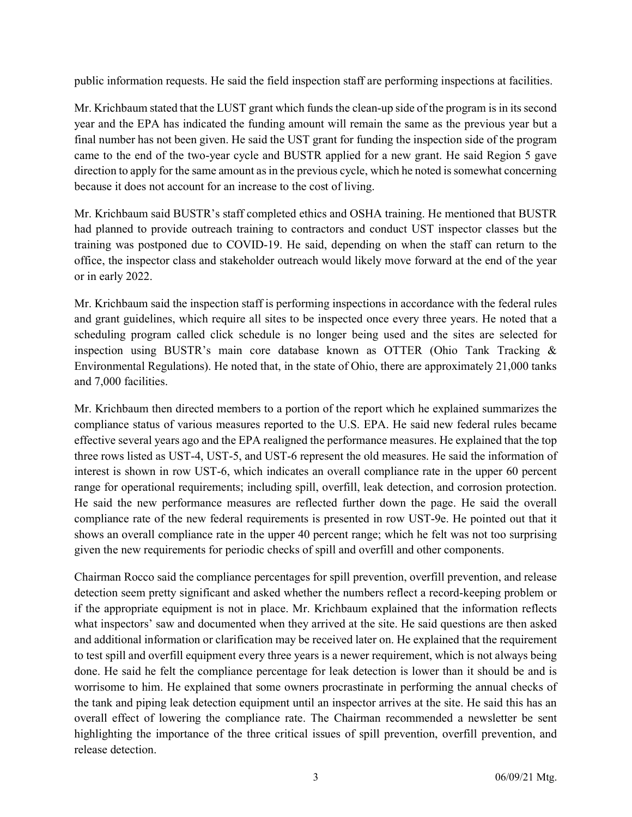public information requests. He said the field inspection staff are performing inspections at facilities.

Mr. Krichbaum stated that the LUST grant which funds the clean-up side of the program is in its second year and the EPA has indicated the funding amount will remain the same as the previous year but a final number has not been given. He said the UST grant for funding the inspection side of the program came to the end of the two-year cycle and BUSTR applied for a new grant. He said Region 5 gave direction to apply for the same amount as in the previous cycle, which he noted is somewhat concerning because it does not account for an increase to the cost of living.

Mr. Krichbaum said BUSTR's staff completed ethics and OSHA training. He mentioned that BUSTR had planned to provide outreach training to contractors and conduct UST inspector classes but the training was postponed due to COVID-19. He said, depending on when the staff can return to the office, the inspector class and stakeholder outreach would likely move forward at the end of the year or in early 2022.

Mr. Krichbaum said the inspection staff is performing inspections in accordance with the federal rules and grant guidelines, which require all sites to be inspected once every three years. He noted that a scheduling program called click schedule is no longer being used and the sites are selected for inspection using BUSTR's main core database known as OTTER (Ohio Tank Tracking & Environmental Regulations). He noted that, in the state of Ohio, there are approximately 21,000 tanks and 7,000 facilities.

Mr. Krichbaum then directed members to a portion of the report which he explained summarizes the compliance status of various measures reported to the U.S. EPA. He said new federal rules became effective several years ago and the EPA realigned the performance measures. He explained that the top three rows listed as UST-4, UST-5, and UST-6 represent the old measures. He said the information of interest is shown in row UST-6, which indicates an overall compliance rate in the upper 60 percent range for operational requirements; including spill, overfill, leak detection, and corrosion protection. He said the new performance measures are reflected further down the page. He said the overall compliance rate of the new federal requirements is presented in row UST-9e. He pointed out that it shows an overall compliance rate in the upper 40 percent range; which he felt was not too surprising given the new requirements for periodic checks of spill and overfill and other components.

Chairman Rocco said the compliance percentages for spill prevention, overfill prevention, and release detection seem pretty significant and asked whether the numbers reflect a record-keeping problem or if the appropriate equipment is not in place. Mr. Krichbaum explained that the information reflects what inspectors' saw and documented when they arrived at the site. He said questions are then asked and additional information or clarification may be received later on. He explained that the requirement to test spill and overfill equipment every three years is a newer requirement, which is not always being done. He said he felt the compliance percentage for leak detection is lower than it should be and is worrisome to him. He explained that some owners procrastinate in performing the annual checks of the tank and piping leak detection equipment until an inspector arrives at the site. He said this has an overall effect of lowering the compliance rate. The Chairman recommended a newsletter be sent highlighting the importance of the three critical issues of spill prevention, overfill prevention, and release detection.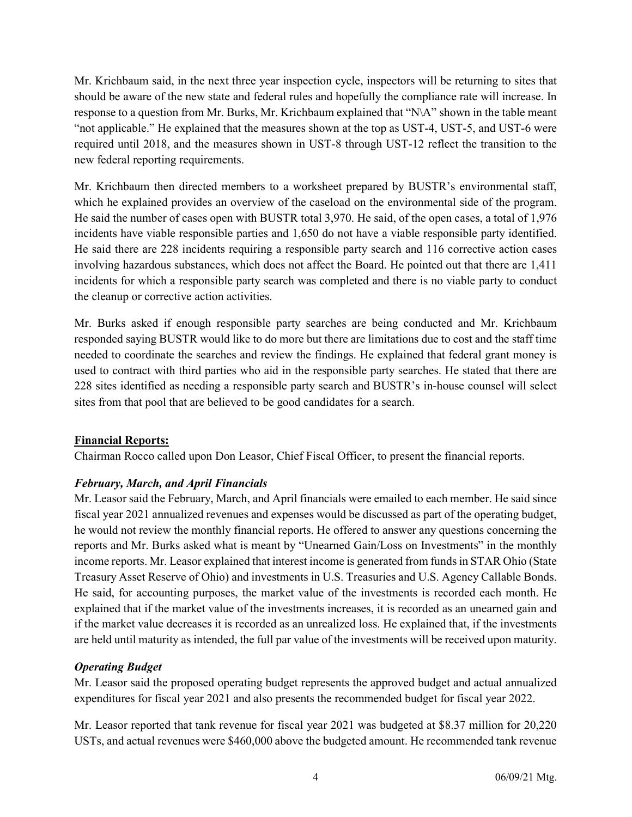Mr. Krichbaum said, in the next three year inspection cycle, inspectors will be returning to sites that should be aware of the new state and federal rules and hopefully the compliance rate will increase. In response to a question from Mr. Burks, Mr. Krichbaum explained that "N\A" shown in the table meant "not applicable." He explained that the measures shown at the top as UST-4, UST-5, and UST-6 were required until 2018, and the measures shown in UST-8 through UST-12 reflect the transition to the new federal reporting requirements.

Mr. Krichbaum then directed members to a worksheet prepared by BUSTR's environmental staff, which he explained provides an overview of the caseload on the environmental side of the program. He said the number of cases open with BUSTR total 3,970. He said, of the open cases, a total of 1,976 incidents have viable responsible parties and 1,650 do not have a viable responsible party identified. He said there are 228 incidents requiring a responsible party search and 116 corrective action cases involving hazardous substances, which does not affect the Board. He pointed out that there are 1,411 incidents for which a responsible party search was completed and there is no viable party to conduct the cleanup or corrective action activities.

Mr. Burks asked if enough responsible party searches are being conducted and Mr. Krichbaum responded saying BUSTR would like to do more but there are limitations due to cost and the staff time needed to coordinate the searches and review the findings. He explained that federal grant money is used to contract with third parties who aid in the responsible party searches. He stated that there are 228 sites identified as needing a responsible party search and BUSTR's in-house counsel will select sites from that pool that are believed to be good candidates for a search.

## Financial Reports:

Chairman Rocco called upon Don Leasor, Chief Fiscal Officer, to present the financial reports.

# February, March, and April Financials

Mr. Leasor said the February, March, and April financials were emailed to each member. He said since fiscal year 2021 annualized revenues and expenses would be discussed as part of the operating budget, he would not review the monthly financial reports. He offered to answer any questions concerning the reports and Mr. Burks asked what is meant by "Unearned Gain/Loss on Investments" in the monthly income reports. Mr. Leasor explained that interest income is generated from funds in STAR Ohio (State Treasury Asset Reserve of Ohio) and investments in U.S. Treasuries and U.S. Agency Callable Bonds. He said, for accounting purposes, the market value of the investments is recorded each month. He explained that if the market value of the investments increases, it is recorded as an unearned gain and if the market value decreases it is recorded as an unrealized loss. He explained that, if the investments are held until maturity as intended, the full par value of the investments will be received upon maturity.

## Operating Budget

Mr. Leasor said the proposed operating budget represents the approved budget and actual annualized expenditures for fiscal year 2021 and also presents the recommended budget for fiscal year 2022.

Mr. Leasor reported that tank revenue for fiscal year 2021 was budgeted at \$8.37 million for 20,220 USTs, and actual revenues were \$460,000 above the budgeted amount. He recommended tank revenue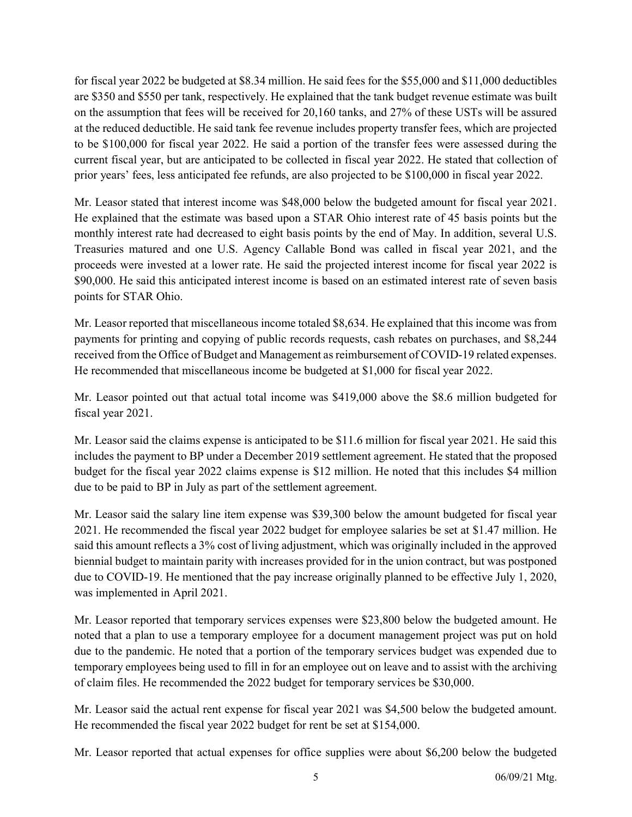for fiscal year 2022 be budgeted at \$8.34 million. He said fees for the \$55,000 and \$11,000 deductibles are \$350 and \$550 per tank, respectively. He explained that the tank budget revenue estimate was built on the assumption that fees will be received for 20,160 tanks, and 27% of these USTs will be assured at the reduced deductible. He said tank fee revenue includes property transfer fees, which are projected to be \$100,000 for fiscal year 2022. He said a portion of the transfer fees were assessed during the current fiscal year, but are anticipated to be collected in fiscal year 2022. He stated that collection of prior years' fees, less anticipated fee refunds, are also projected to be \$100,000 in fiscal year 2022.

Mr. Leasor stated that interest income was \$48,000 below the budgeted amount for fiscal year 2021. He explained that the estimate was based upon a STAR Ohio interest rate of 45 basis points but the monthly interest rate had decreased to eight basis points by the end of May. In addition, several U.S. Treasuries matured and one U.S. Agency Callable Bond was called in fiscal year 2021, and the proceeds were invested at a lower rate. He said the projected interest income for fiscal year 2022 is \$90,000. He said this anticipated interest income is based on an estimated interest rate of seven basis points for STAR Ohio.

Mr. Leasor reported that miscellaneous income totaled \$8,634. He explained that this income was from payments for printing and copying of public records requests, cash rebates on purchases, and \$8,244 received from the Office of Budget and Management as reimbursement of COVID-19 related expenses. He recommended that miscellaneous income be budgeted at \$1,000 for fiscal year 2022.

Mr. Leasor pointed out that actual total income was \$419,000 above the \$8.6 million budgeted for fiscal year 2021.

Mr. Leasor said the claims expense is anticipated to be \$11.6 million for fiscal year 2021. He said this includes the payment to BP under a December 2019 settlement agreement. He stated that the proposed budget for the fiscal year 2022 claims expense is \$12 million. He noted that this includes \$4 million due to be paid to BP in July as part of the settlement agreement.

Mr. Leasor said the salary line item expense was \$39,300 below the amount budgeted for fiscal year 2021. He recommended the fiscal year 2022 budget for employee salaries be set at \$1.47 million. He said this amount reflects a 3% cost of living adjustment, which was originally included in the approved biennial budget to maintain parity with increases provided for in the union contract, but was postponed due to COVID-19. He mentioned that the pay increase originally planned to be effective July 1, 2020, was implemented in April 2021.

Mr. Leasor reported that temporary services expenses were \$23,800 below the budgeted amount. He noted that a plan to use a temporary employee for a document management project was put on hold due to the pandemic. He noted that a portion of the temporary services budget was expended due to temporary employees being used to fill in for an employee out on leave and to assist with the archiving of claim files. He recommended the 2022 budget for temporary services be \$30,000.

Mr. Leasor said the actual rent expense for fiscal year 2021 was \$4,500 below the budgeted amount. He recommended the fiscal year 2022 budget for rent be set at \$154,000.

Mr. Leasor reported that actual expenses for office supplies were about \$6,200 below the budgeted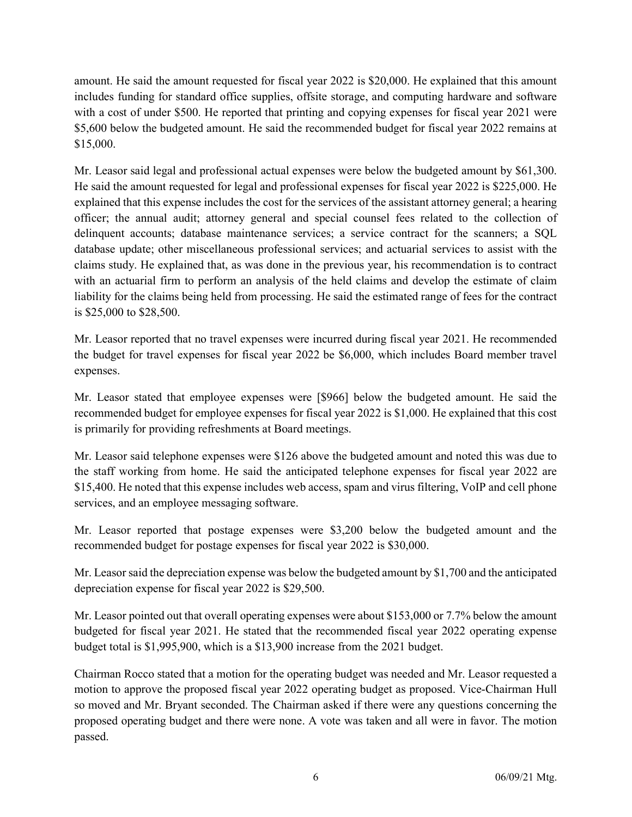amount. He said the amount requested for fiscal year 2022 is \$20,000. He explained that this amount includes funding for standard office supplies, offsite storage, and computing hardware and software with a cost of under \$500. He reported that printing and copying expenses for fiscal year 2021 were \$5,600 below the budgeted amount. He said the recommended budget for fiscal year 2022 remains at \$15,000.

Mr. Leasor said legal and professional actual expenses were below the budgeted amount by \$61,300. He said the amount requested for legal and professional expenses for fiscal year 2022 is \$225,000. He explained that this expense includes the cost for the services of the assistant attorney general; a hearing officer; the annual audit; attorney general and special counsel fees related to the collection of delinquent accounts; database maintenance services; a service contract for the scanners; a SQL database update; other miscellaneous professional services; and actuarial services to assist with the claims study. He explained that, as was done in the previous year, his recommendation is to contract with an actuarial firm to perform an analysis of the held claims and develop the estimate of claim liability for the claims being held from processing. He said the estimated range of fees for the contract is \$25,000 to \$28,500.

Mr. Leasor reported that no travel expenses were incurred during fiscal year 2021. He recommended the budget for travel expenses for fiscal year 2022 be \$6,000, which includes Board member travel expenses.

Mr. Leasor stated that employee expenses were [\$966] below the budgeted amount. He said the recommended budget for employee expenses for fiscal year 2022 is \$1,000. He explained that this cost is primarily for providing refreshments at Board meetings.

Mr. Leasor said telephone expenses were \$126 above the budgeted amount and noted this was due to the staff working from home. He said the anticipated telephone expenses for fiscal year 2022 are \$15,400. He noted that this expense includes web access, spam and virus filtering, VoIP and cell phone services, and an employee messaging software.

Mr. Leasor reported that postage expenses were \$3,200 below the budgeted amount and the recommended budget for postage expenses for fiscal year 2022 is \$30,000.

Mr. Leasor said the depreciation expense was below the budgeted amount by \$1,700 and the anticipated depreciation expense for fiscal year 2022 is \$29,500.

Mr. Leasor pointed out that overall operating expenses were about \$153,000 or 7.7% below the amount budgeted for fiscal year 2021. He stated that the recommended fiscal year 2022 operating expense budget total is \$1,995,900, which is a \$13,900 increase from the 2021 budget.

Chairman Rocco stated that a motion for the operating budget was needed and Mr. Leasor requested a motion to approve the proposed fiscal year 2022 operating budget as proposed. Vice-Chairman Hull so moved and Mr. Bryant seconded. The Chairman asked if there were any questions concerning the proposed operating budget and there were none. A vote was taken and all were in favor. The motion passed.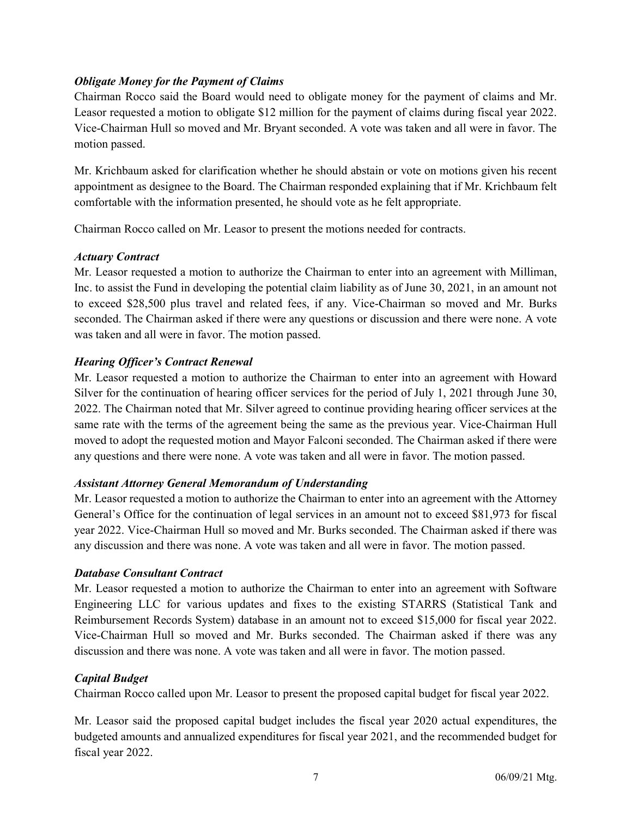# Obligate Money for the Payment of Claims

Chairman Rocco said the Board would need to obligate money for the payment of claims and Mr. Leasor requested a motion to obligate \$12 million for the payment of claims during fiscal year 2022. Vice-Chairman Hull so moved and Mr. Bryant seconded. A vote was taken and all were in favor. The motion passed.

Mr. Krichbaum asked for clarification whether he should abstain or vote on motions given his recent appointment as designee to the Board. The Chairman responded explaining that if Mr. Krichbaum felt comfortable with the information presented, he should vote as he felt appropriate.

Chairman Rocco called on Mr. Leasor to present the motions needed for contracts.

# Actuary Contract

Mr. Leasor requested a motion to authorize the Chairman to enter into an agreement with Milliman, Inc. to assist the Fund in developing the potential claim liability as of June 30, 2021, in an amount not to exceed \$28,500 plus travel and related fees, if any. Vice-Chairman so moved and Mr. Burks seconded. The Chairman asked if there were any questions or discussion and there were none. A vote was taken and all were in favor. The motion passed.

# Hearing Officer's Contract Renewal

Mr. Leasor requested a motion to authorize the Chairman to enter into an agreement with Howard Silver for the continuation of hearing officer services for the period of July 1, 2021 through June 30, 2022. The Chairman noted that Mr. Silver agreed to continue providing hearing officer services at the same rate with the terms of the agreement being the same as the previous year. Vice-Chairman Hull moved to adopt the requested motion and Mayor Falconi seconded. The Chairman asked if there were any questions and there were none. A vote was taken and all were in favor. The motion passed.

## Assistant Attorney General Memorandum of Understanding

Mr. Leasor requested a motion to authorize the Chairman to enter into an agreement with the Attorney General's Office for the continuation of legal services in an amount not to exceed \$81,973 for fiscal year 2022. Vice-Chairman Hull so moved and Mr. Burks seconded. The Chairman asked if there was any discussion and there was none. A vote was taken and all were in favor. The motion passed.

## Database Consultant Contract

Mr. Leasor requested a motion to authorize the Chairman to enter into an agreement with Software Engineering LLC for various updates and fixes to the existing STARRS (Statistical Tank and Reimbursement Records System) database in an amount not to exceed \$15,000 for fiscal year 2022. Vice-Chairman Hull so moved and Mr. Burks seconded. The Chairman asked if there was any discussion and there was none. A vote was taken and all were in favor. The motion passed.

# Capital Budget

Chairman Rocco called upon Mr. Leasor to present the proposed capital budget for fiscal year 2022.

Mr. Leasor said the proposed capital budget includes the fiscal year 2020 actual expenditures, the budgeted amounts and annualized expenditures for fiscal year 2021, and the recommended budget for fiscal year 2022.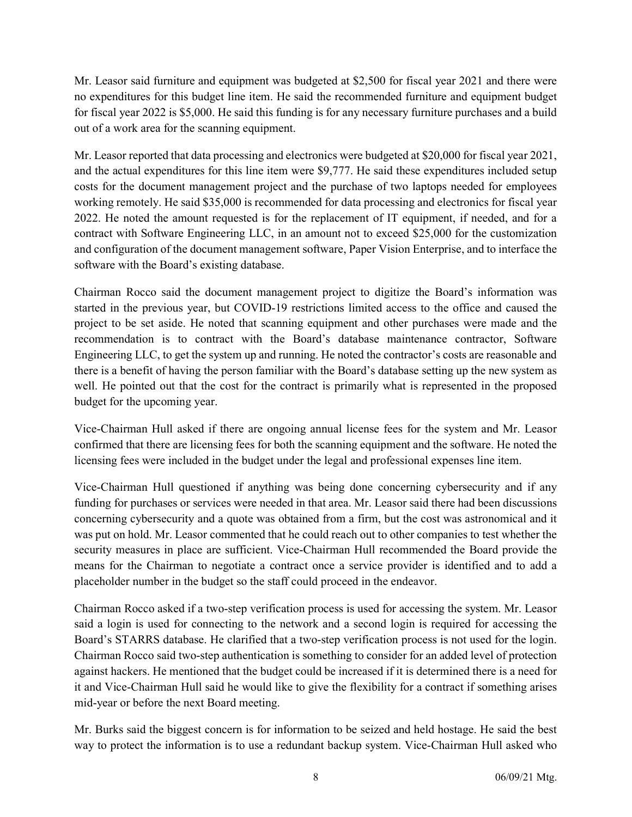Mr. Leasor said furniture and equipment was budgeted at \$2,500 for fiscal year 2021 and there were no expenditures for this budget line item. He said the recommended furniture and equipment budget for fiscal year 2022 is \$5,000. He said this funding is for any necessary furniture purchases and a build out of a work area for the scanning equipment.

Mr. Leasor reported that data processing and electronics were budgeted at \$20,000 for fiscal year 2021, and the actual expenditures for this line item were \$9,777. He said these expenditures included setup costs for the document management project and the purchase of two laptops needed for employees working remotely. He said \$35,000 is recommended for data processing and electronics for fiscal year 2022. He noted the amount requested is for the replacement of IT equipment, if needed, and for a contract with Software Engineering LLC, in an amount not to exceed \$25,000 for the customization and configuration of the document management software, Paper Vision Enterprise, and to interface the software with the Board's existing database.

Chairman Rocco said the document management project to digitize the Board's information was started in the previous year, but COVID-19 restrictions limited access to the office and caused the project to be set aside. He noted that scanning equipment and other purchases were made and the recommendation is to contract with the Board's database maintenance contractor, Software Engineering LLC, to get the system up and running. He noted the contractor's costs are reasonable and there is a benefit of having the person familiar with the Board's database setting up the new system as well. He pointed out that the cost for the contract is primarily what is represented in the proposed budget for the upcoming year.

Vice-Chairman Hull asked if there are ongoing annual license fees for the system and Mr. Leasor confirmed that there are licensing fees for both the scanning equipment and the software. He noted the licensing fees were included in the budget under the legal and professional expenses line item.

Vice-Chairman Hull questioned if anything was being done concerning cybersecurity and if any funding for purchases or services were needed in that area. Mr. Leasor said there had been discussions concerning cybersecurity and a quote was obtained from a firm, but the cost was astronomical and it was put on hold. Mr. Leasor commented that he could reach out to other companies to test whether the security measures in place are sufficient. Vice-Chairman Hull recommended the Board provide the means for the Chairman to negotiate a contract once a service provider is identified and to add a placeholder number in the budget so the staff could proceed in the endeavor.

Chairman Rocco asked if a two-step verification process is used for accessing the system. Mr. Leasor said a login is used for connecting to the network and a second login is required for accessing the Board's STARRS database. He clarified that a two-step verification process is not used for the login. Chairman Rocco said two-step authentication is something to consider for an added level of protection against hackers. He mentioned that the budget could be increased if it is determined there is a need for it and Vice-Chairman Hull said he would like to give the flexibility for a contract if something arises mid-year or before the next Board meeting.

Mr. Burks said the biggest concern is for information to be seized and held hostage. He said the best way to protect the information is to use a redundant backup system. Vice-Chairman Hull asked who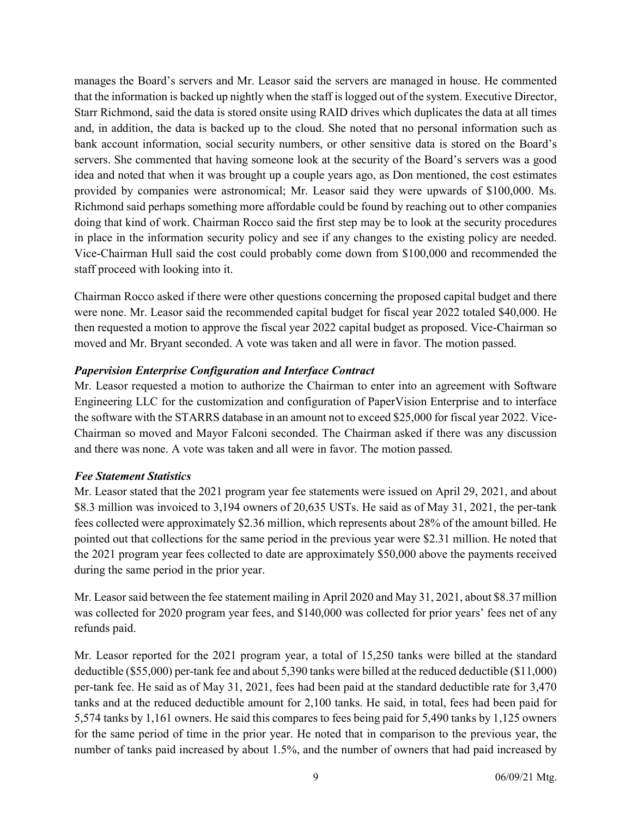manages the Board's servers and Mr. Leasor said the servers are managed in house. He commented that the information is backed up nightly when the staff is logged out of the system. Executive Director, Starr Richmond, said the data is stored onsite using RAID drives which duplicates the data at all times and, in addition, the data is backed up to the cloud. She noted that no personal information such as bank account information, social security numbers, or other sensitive data is stored on the Board's servers. She commented that having someone look at the security of the Board's servers was a good idea and noted that when it was brought up a couple years ago, as Don mentioned, the cost estimates provided by companies were astronomical; Mr. Leasor said they were upwards of \$100,000. Ms. Richmond said perhaps something more affordable could be found by reaching out to other companies doing that kind of work. Chairman Rocco said the first step may be to look at the security procedures in place in the information security policy and see if any changes to the existing policy are needed. Vice-Chairman Hull said the cost could probably come down from \$100,000 and recommended the staff proceed with looking into it.

Chairman Rocco asked if there were other questions concerning the proposed capital budget and there were none. Mr. Leasor said the recommended capital budget for fiscal year 2022 totaled \$40,000. He then requested a motion to approve the fiscal year 2022 capital budget as proposed. Vice-Chairman so moved and Mr. Bryant seconded. A vote was taken and all were in favor. The motion passed.

# Papervision Enterprise Configuration and Interface Contract

Mr. Leasor requested a motion to authorize the Chairman to enter into an agreement with Software Engineering LLC for the customization and configuration of PaperVision Enterprise and to interface the software with the STARRS database in an amount not to exceed \$25,000 for fiscal year 2022. Vice-Chairman so moved and Mayor Falconi seconded. The Chairman asked if there was any discussion and there was none. A vote was taken and all were in favor. The motion passed.

## Fee Statement Statistics

Mr. Leasor stated that the 2021 program year fee statements were issued on April 29, 2021, and about \$8.3 million was invoiced to 3,194 owners of 20,635 USTs. He said as of May 31, 2021, the per-tank fees collected were approximately \$2.36 million, which represents about 28% of the amount billed. He pointed out that collections for the same period in the previous year were \$2.31 million. He noted that the 2021 program year fees collected to date are approximately \$50,000 above the payments received during the same period in the prior year.

Mr. Leasor said between the fee statement mailing in April 2020 and May 31, 2021, about \$8.37 million was collected for 2020 program year fees, and \$140,000 was collected for prior years' fees net of any refunds paid.

Mr. Leasor reported for the 2021 program year, a total of 15,250 tanks were billed at the standard deductible (\$55,000) per-tank fee and about 5,390 tanks were billed at the reduced deductible (\$11,000) per-tank fee. He said as of May 31, 2021, fees had been paid at the standard deductible rate for 3,470 tanks and at the reduced deductible amount for 2,100 tanks. He said, in total, fees had been paid for 5,574 tanks by 1,161 owners. He said this compares to fees being paid for 5,490 tanks by 1,125 owners for the same period of time in the prior year. He noted that in comparison to the previous year, the number of tanks paid increased by about 1.5%, and the number of owners that had paid increased by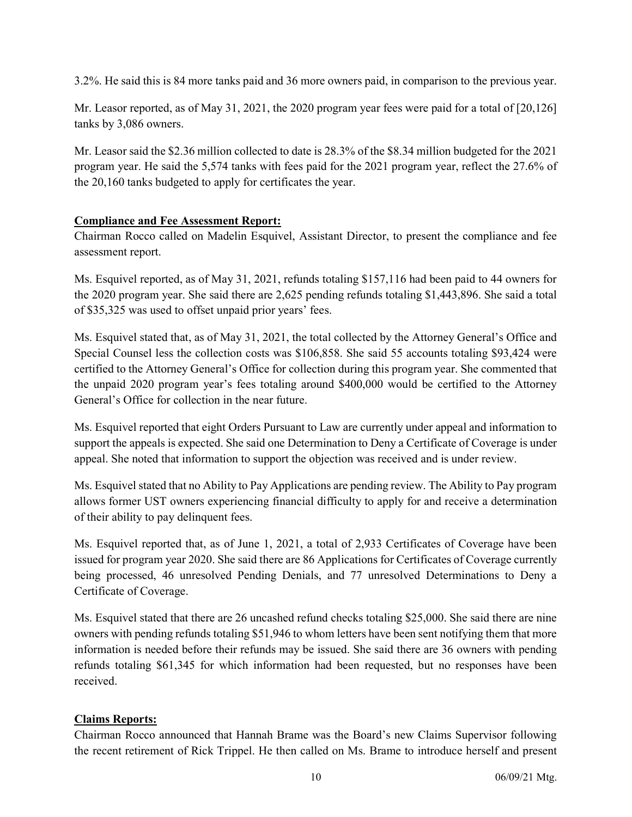3.2%. He said this is 84 more tanks paid and 36 more owners paid, in comparison to the previous year.

Mr. Leasor reported, as of May 31, 2021, the 2020 program year fees were paid for a total of [20,126] tanks by 3,086 owners.

Mr. Leasor said the \$2.36 million collected to date is 28.3% of the \$8.34 million budgeted for the 2021 program year. He said the 5,574 tanks with fees paid for the 2021 program year, reflect the 27.6% of the 20,160 tanks budgeted to apply for certificates the year.

# Compliance and Fee Assessment Report:

Chairman Rocco called on Madelin Esquivel, Assistant Director, to present the compliance and fee assessment report.

Ms. Esquivel reported, as of May 31, 2021, refunds totaling \$157,116 had been paid to 44 owners for the 2020 program year. She said there are 2,625 pending refunds totaling \$1,443,896. She said a total of \$35,325 was used to offset unpaid prior years' fees.

Ms. Esquivel stated that, as of May 31, 2021, the total collected by the Attorney General's Office and Special Counsel less the collection costs was \$106,858. She said 55 accounts totaling \$93,424 were certified to the Attorney General's Office for collection during this program year. She commented that the unpaid 2020 program year's fees totaling around \$400,000 would be certified to the Attorney General's Office for collection in the near future.

Ms. Esquivel reported that eight Orders Pursuant to Law are currently under appeal and information to support the appeals is expected. She said one Determination to Deny a Certificate of Coverage is under appeal. She noted that information to support the objection was received and is under review.

Ms. Esquivel stated that no Ability to Pay Applications are pending review. The Ability to Pay program allows former UST owners experiencing financial difficulty to apply for and receive a determination of their ability to pay delinquent fees.

Ms. Esquivel reported that, as of June 1, 2021, a total of 2,933 Certificates of Coverage have been issued for program year 2020. She said there are 86 Applications for Certificates of Coverage currently being processed, 46 unresolved Pending Denials, and 77 unresolved Determinations to Deny a Certificate of Coverage.

Ms. Esquivel stated that there are 26 uncashed refund checks totaling \$25,000. She said there are nine owners with pending refunds totaling \$51,946 to whom letters have been sent notifying them that more information is needed before their refunds may be issued. She said there are 36 owners with pending refunds totaling \$61,345 for which information had been requested, but no responses have been received.

# Claims Reports:

Chairman Rocco announced that Hannah Brame was the Board's new Claims Supervisor following the recent retirement of Rick Trippel. He then called on Ms. Brame to introduce herself and present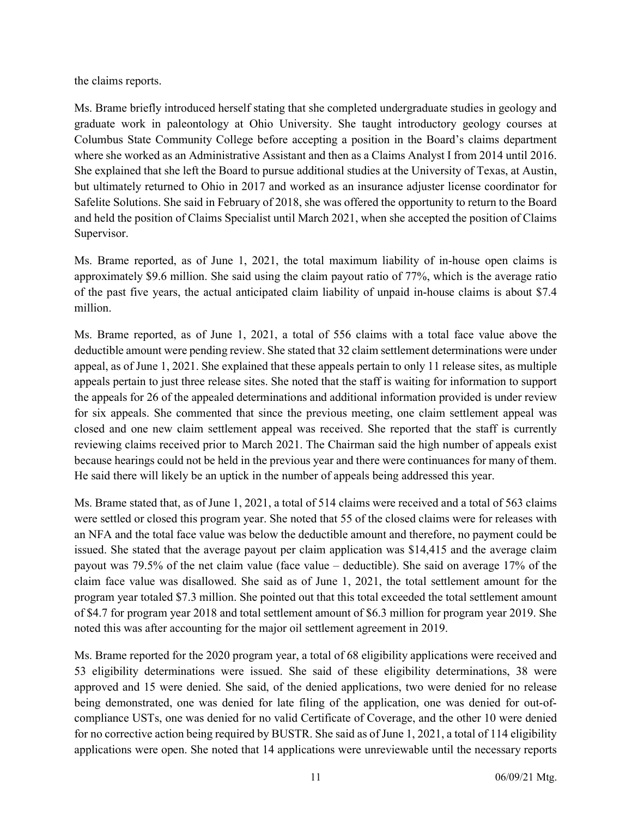the claims reports.

Ms. Brame briefly introduced herself stating that she completed undergraduate studies in geology and graduate work in paleontology at Ohio University. She taught introductory geology courses at Columbus State Community College before accepting a position in the Board's claims department where she worked as an Administrative Assistant and then as a Claims Analyst I from 2014 until 2016. She explained that she left the Board to pursue additional studies at the University of Texas, at Austin, but ultimately returned to Ohio in 2017 and worked as an insurance adjuster license coordinator for Safelite Solutions. She said in February of 2018, she was offered the opportunity to return to the Board and held the position of Claims Specialist until March 2021, when she accepted the position of Claims Supervisor.

Ms. Brame reported, as of June 1, 2021, the total maximum liability of in-house open claims is approximately \$9.6 million. She said using the claim payout ratio of 77%, which is the average ratio of the past five years, the actual anticipated claim liability of unpaid in-house claims is about \$7.4 million.

Ms. Brame reported, as of June 1, 2021, a total of 556 claims with a total face value above the deductible amount were pending review. She stated that 32 claim settlement determinations were under appeal, as of June 1, 2021. She explained that these appeals pertain to only 11 release sites, as multiple appeals pertain to just three release sites. She noted that the staff is waiting for information to support the appeals for 26 of the appealed determinations and additional information provided is under review for six appeals. She commented that since the previous meeting, one claim settlement appeal was closed and one new claim settlement appeal was received. She reported that the staff is currently reviewing claims received prior to March 2021. The Chairman said the high number of appeals exist because hearings could not be held in the previous year and there were continuances for many of them. He said there will likely be an uptick in the number of appeals being addressed this year.

Ms. Brame stated that, as of June 1, 2021, a total of 514 claims were received and a total of 563 claims were settled or closed this program year. She noted that 55 of the closed claims were for releases with an NFA and the total face value was below the deductible amount and therefore, no payment could be issued. She stated that the average payout per claim application was \$14,415 and the average claim payout was 79.5% of the net claim value (face value – deductible). She said on average 17% of the claim face value was disallowed. She said as of June 1, 2021, the total settlement amount for the program year totaled \$7.3 million. She pointed out that this total exceeded the total settlement amount of \$4.7 for program year 2018 and total settlement amount of \$6.3 million for program year 2019. She noted this was after accounting for the major oil settlement agreement in 2019.

Ms. Brame reported for the 2020 program year, a total of 68 eligibility applications were received and 53 eligibility determinations were issued. She said of these eligibility determinations, 38 were approved and 15 were denied. She said, of the denied applications, two were denied for no release being demonstrated, one was denied for late filing of the application, one was denied for out-ofcompliance USTs, one was denied for no valid Certificate of Coverage, and the other 10 were denied for no corrective action being required by BUSTR. She said as of June 1, 2021, a total of 114 eligibility applications were open. She noted that 14 applications were unreviewable until the necessary reports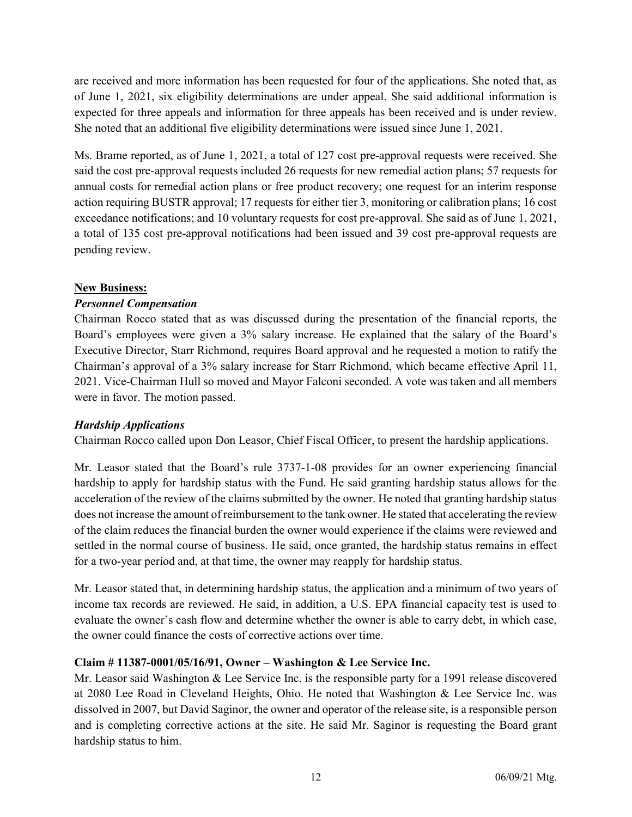are received and more information has been requested for four of the applications. She noted that, as of June 1, 2021, six eligibility determinations are under appeal. She said additional information is expected for three appeals and information for three appeals has been received and is under review. She noted that an additional five eligibility determinations were issued since June 1, 2021.

Ms. Brame reported, as of June 1, 2021, a total of 127 cost pre-approval requests were received. She said the cost pre-approval requests included 26 requests for new remedial action plans; 57 requests for annual costs for remedial action plans or free product recovery; one request for an interim response action requiring BUSTR approval; 17 requests for either tier 3, monitoring or calibration plans; 16 cost exceedance notifications; and 10 voluntary requests for cost pre-approval. She said as of June 1, 2021, a total of 135 cost pre-approval notifications had been issued and 39 cost pre-approval requests are pending review.

## New Business:

# Personnel Compensation

Chairman Rocco stated that as was discussed during the presentation of the financial reports, the Board's employees were given a 3% salary increase. He explained that the salary of the Board's Executive Director, Starr Richmond, requires Board approval and he requested a motion to ratify the Chairman's approval of a 3% salary increase for Starr Richmond, which became effective April 11, 2021. Vice-Chairman Hull so moved and Mayor Falconi seconded. A vote was taken and all members were in favor. The motion passed.

## Hardship Applications

Chairman Rocco called upon Don Leasor, Chief Fiscal Officer, to present the hardship applications.

Mr. Leasor stated that the Board's rule 3737-1-08 provides for an owner experiencing financial hardship to apply for hardship status with the Fund. He said granting hardship status allows for the acceleration of the review of the claims submitted by the owner. He noted that granting hardship status does not increase the amount of reimbursement to the tank owner. He stated that accelerating the review of the claim reduces the financial burden the owner would experience if the claims were reviewed and settled in the normal course of business. He said, once granted, the hardship status remains in effect for a two-year period and, at that time, the owner may reapply for hardship status.

Mr. Leasor stated that, in determining hardship status, the application and a minimum of two years of income tax records are reviewed. He said, in addition, a U.S. EPA financial capacity test is used to evaluate the owner's cash flow and determine whether the owner is able to carry debt, in which case, the owner could finance the costs of corrective actions over time.

## Claim # 11387-0001/05/16/91, Owner – Washington & Lee Service Inc.

Mr. Leasor said Washington & Lee Service Inc. is the responsible party for a 1991 release discovered at 2080 Lee Road in Cleveland Heights, Ohio. He noted that Washington & Lee Service Inc. was dissolved in 2007, but David Saginor, the owner and operator of the release site, is a responsible person and is completing corrective actions at the site. He said Mr. Saginor is requesting the Board grant hardship status to him.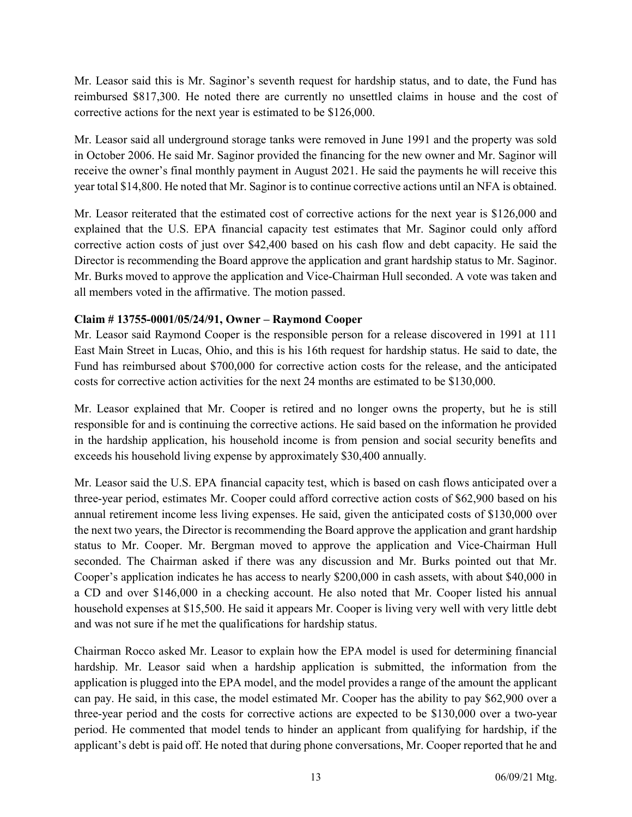Mr. Leasor said this is Mr. Saginor's seventh request for hardship status, and to date, the Fund has reimbursed \$817,300. He noted there are currently no unsettled claims in house and the cost of corrective actions for the next year is estimated to be \$126,000.

Mr. Leasor said all underground storage tanks were removed in June 1991 and the property was sold in October 2006. He said Mr. Saginor provided the financing for the new owner and Mr. Saginor will receive the owner's final monthly payment in August 2021. He said the payments he will receive this year total \$14,800. He noted that Mr. Saginor is to continue corrective actions until an NFA is obtained.

Mr. Leasor reiterated that the estimated cost of corrective actions for the next year is \$126,000 and explained that the U.S. EPA financial capacity test estimates that Mr. Saginor could only afford corrective action costs of just over \$42,400 based on his cash flow and debt capacity. He said the Director is recommending the Board approve the application and grant hardship status to Mr. Saginor. Mr. Burks moved to approve the application and Vice-Chairman Hull seconded. A vote was taken and all members voted in the affirmative. The motion passed.

# Claim # 13755-0001/05/24/91, Owner – Raymond Cooper

Mr. Leasor said Raymond Cooper is the responsible person for a release discovered in 1991 at 111 East Main Street in Lucas, Ohio, and this is his 16th request for hardship status. He said to date, the Fund has reimbursed about \$700,000 for corrective action costs for the release, and the anticipated costs for corrective action activities for the next 24 months are estimated to be \$130,000.

Mr. Leasor explained that Mr. Cooper is retired and no longer owns the property, but he is still responsible for and is continuing the corrective actions. He said based on the information he provided in the hardship application, his household income is from pension and social security benefits and exceeds his household living expense by approximately \$30,400 annually.

Mr. Leasor said the U.S. EPA financial capacity test, which is based on cash flows anticipated over a three-year period, estimates Mr. Cooper could afford corrective action costs of \$62,900 based on his annual retirement income less living expenses. He said, given the anticipated costs of \$130,000 over the next two years, the Director is recommending the Board approve the application and grant hardship status to Mr. Cooper. Mr. Bergman moved to approve the application and Vice-Chairman Hull seconded. The Chairman asked if there was any discussion and Mr. Burks pointed out that Mr. Cooper's application indicates he has access to nearly \$200,000 in cash assets, with about \$40,000 in a CD and over \$146,000 in a checking account. He also noted that Mr. Cooper listed his annual household expenses at \$15,500. He said it appears Mr. Cooper is living very well with very little debt and was not sure if he met the qualifications for hardship status.

Chairman Rocco asked Mr. Leasor to explain how the EPA model is used for determining financial hardship. Mr. Leasor said when a hardship application is submitted, the information from the application is plugged into the EPA model, and the model provides a range of the amount the applicant can pay. He said, in this case, the model estimated Mr. Cooper has the ability to pay \$62,900 over a three-year period and the costs for corrective actions are expected to be \$130,000 over a two-year period. He commented that model tends to hinder an applicant from qualifying for hardship, if the applicant's debt is paid off. He noted that during phone conversations, Mr. Cooper reported that he and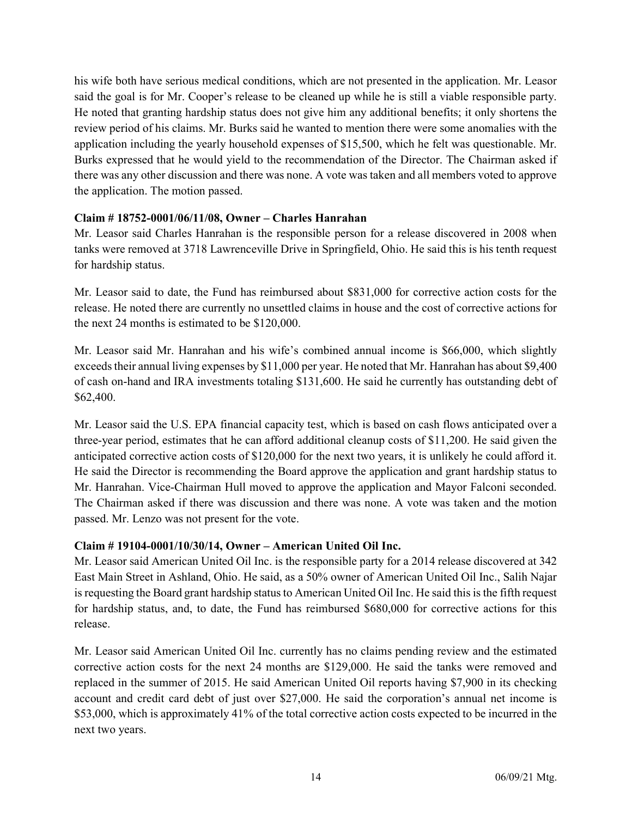his wife both have serious medical conditions, which are not presented in the application. Mr. Leasor said the goal is for Mr. Cooper's release to be cleaned up while he is still a viable responsible party. He noted that granting hardship status does not give him any additional benefits; it only shortens the review period of his claims. Mr. Burks said he wanted to mention there were some anomalies with the application including the yearly household expenses of \$15,500, which he felt was questionable. Mr. Burks expressed that he would yield to the recommendation of the Director. The Chairman asked if there was any other discussion and there was none. A vote was taken and all members voted to approve the application. The motion passed.

# Claim # 18752-0001/06/11/08, Owner – Charles Hanrahan

Mr. Leasor said Charles Hanrahan is the responsible person for a release discovered in 2008 when tanks were removed at 3718 Lawrenceville Drive in Springfield, Ohio. He said this is his tenth request for hardship status.

Mr. Leasor said to date, the Fund has reimbursed about \$831,000 for corrective action costs for the release. He noted there are currently no unsettled claims in house and the cost of corrective actions for the next 24 months is estimated to be \$120,000.

Mr. Leasor said Mr. Hanrahan and his wife's combined annual income is \$66,000, which slightly exceeds their annual living expenses by \$11,000 per year. He noted that Mr. Hanrahan has about \$9,400 of cash on-hand and IRA investments totaling \$131,600. He said he currently has outstanding debt of \$62,400.

Mr. Leasor said the U.S. EPA financial capacity test, which is based on cash flows anticipated over a three-year period, estimates that he can afford additional cleanup costs of \$11,200. He said given the anticipated corrective action costs of \$120,000 for the next two years, it is unlikely he could afford it. He said the Director is recommending the Board approve the application and grant hardship status to Mr. Hanrahan. Vice-Chairman Hull moved to approve the application and Mayor Falconi seconded. The Chairman asked if there was discussion and there was none. A vote was taken and the motion passed. Mr. Lenzo was not present for the vote.

## Claim # 19104-0001/10/30/14, Owner – American United Oil Inc.

Mr. Leasor said American United Oil Inc. is the responsible party for a 2014 release discovered at 342 East Main Street in Ashland, Ohio. He said, as a 50% owner of American United Oil Inc., Salih Najar is requesting the Board grant hardship status to American United Oil Inc. He said this is the fifth request for hardship status, and, to date, the Fund has reimbursed \$680,000 for corrective actions for this release.

Mr. Leasor said American United Oil Inc. currently has no claims pending review and the estimated corrective action costs for the next 24 months are \$129,000. He said the tanks were removed and replaced in the summer of 2015. He said American United Oil reports having \$7,900 in its checking account and credit card debt of just over \$27,000. He said the corporation's annual net income is \$53,000, which is approximately 41% of the total corrective action costs expected to be incurred in the next two years.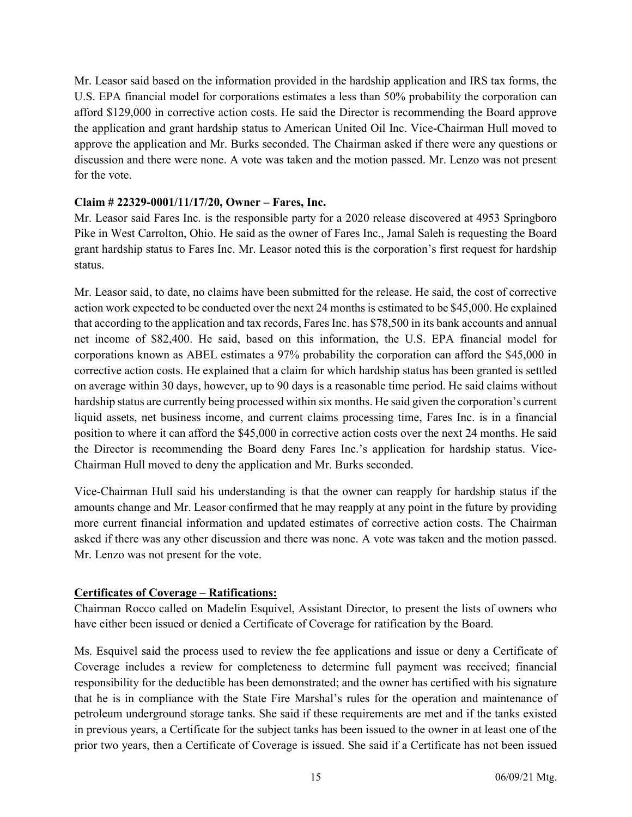Mr. Leasor said based on the information provided in the hardship application and IRS tax forms, the U.S. EPA financial model for corporations estimates a less than 50% probability the corporation can afford \$129,000 in corrective action costs. He said the Director is recommending the Board approve the application and grant hardship status to American United Oil Inc. Vice-Chairman Hull moved to approve the application and Mr. Burks seconded. The Chairman asked if there were any questions or discussion and there were none. A vote was taken and the motion passed. Mr. Lenzo was not present for the vote.

#### Claim # 22329-0001/11/17/20, Owner – Fares, Inc.

Mr. Leasor said Fares Inc. is the responsible party for a 2020 release discovered at 4953 Springboro Pike in West Carrolton, Ohio. He said as the owner of Fares Inc., Jamal Saleh is requesting the Board grant hardship status to Fares Inc. Mr. Leasor noted this is the corporation's first request for hardship status.

Mr. Leasor said, to date, no claims have been submitted for the release. He said, the cost of corrective action work expected to be conducted over the next 24 months is estimated to be \$45,000. He explained that according to the application and tax records, Fares Inc. has \$78,500 in its bank accounts and annual net income of \$82,400. He said, based on this information, the U.S. EPA financial model for corporations known as ABEL estimates a 97% probability the corporation can afford the \$45,000 in corrective action costs. He explained that a claim for which hardship status has been granted is settled on average within 30 days, however, up to 90 days is a reasonable time period. He said claims without hardship status are currently being processed within six months. He said given the corporation's current liquid assets, net business income, and current claims processing time, Fares Inc. is in a financial position to where it can afford the \$45,000 in corrective action costs over the next 24 months. He said the Director is recommending the Board deny Fares Inc.'s application for hardship status. Vice-Chairman Hull moved to deny the application and Mr. Burks seconded.

Vice-Chairman Hull said his understanding is that the owner can reapply for hardship status if the amounts change and Mr. Leasor confirmed that he may reapply at any point in the future by providing more current financial information and updated estimates of corrective action costs. The Chairman asked if there was any other discussion and there was none. A vote was taken and the motion passed. Mr. Lenzo was not present for the vote.

## Certificates of Coverage – Ratifications:

Chairman Rocco called on Madelin Esquivel, Assistant Director, to present the lists of owners who have either been issued or denied a Certificate of Coverage for ratification by the Board.

Ms. Esquivel said the process used to review the fee applications and issue or deny a Certificate of Coverage includes a review for completeness to determine full payment was received; financial responsibility for the deductible has been demonstrated; and the owner has certified with his signature that he is in compliance with the State Fire Marshal's rules for the operation and maintenance of petroleum underground storage tanks. She said if these requirements are met and if the tanks existed in previous years, a Certificate for the subject tanks has been issued to the owner in at least one of the prior two years, then a Certificate of Coverage is issued. She said if a Certificate has not been issued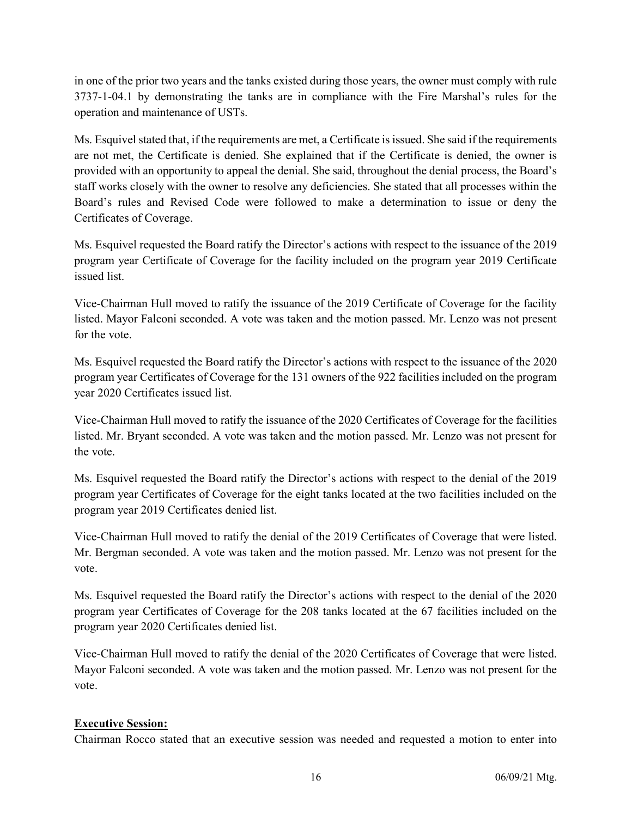in one of the prior two years and the tanks existed during those years, the owner must comply with rule 3737-1-04.1 by demonstrating the tanks are in compliance with the Fire Marshal's rules for the operation and maintenance of USTs.

Ms. Esquivel stated that, if the requirements are met, a Certificate is issued. She said if the requirements are not met, the Certificate is denied. She explained that if the Certificate is denied, the owner is provided with an opportunity to appeal the denial. She said, throughout the denial process, the Board's staff works closely with the owner to resolve any deficiencies. She stated that all processes within the Board's rules and Revised Code were followed to make a determination to issue or deny the Certificates of Coverage.

Ms. Esquivel requested the Board ratify the Director's actions with respect to the issuance of the 2019 program year Certificate of Coverage for the facility included on the program year 2019 Certificate issued list.

Vice-Chairman Hull moved to ratify the issuance of the 2019 Certificate of Coverage for the facility listed. Mayor Falconi seconded. A vote was taken and the motion passed. Mr. Lenzo was not present for the vote.

Ms. Esquivel requested the Board ratify the Director's actions with respect to the issuance of the 2020 program year Certificates of Coverage for the 131 owners of the 922 facilities included on the program year 2020 Certificates issued list.

Vice-Chairman Hull moved to ratify the issuance of the 2020 Certificates of Coverage for the facilities listed. Mr. Bryant seconded. A vote was taken and the motion passed. Mr. Lenzo was not present for the vote.

Ms. Esquivel requested the Board ratify the Director's actions with respect to the denial of the 2019 program year Certificates of Coverage for the eight tanks located at the two facilities included on the program year 2019 Certificates denied list.

Vice-Chairman Hull moved to ratify the denial of the 2019 Certificates of Coverage that were listed. Mr. Bergman seconded. A vote was taken and the motion passed. Mr. Lenzo was not present for the vote.

Ms. Esquivel requested the Board ratify the Director's actions with respect to the denial of the 2020 program year Certificates of Coverage for the 208 tanks located at the 67 facilities included on the program year 2020 Certificates denied list.

Vice-Chairman Hull moved to ratify the denial of the 2020 Certificates of Coverage that were listed. Mayor Falconi seconded. A vote was taken and the motion passed. Mr. Lenzo was not present for the vote.

# Executive Session:

Chairman Rocco stated that an executive session was needed and requested a motion to enter into